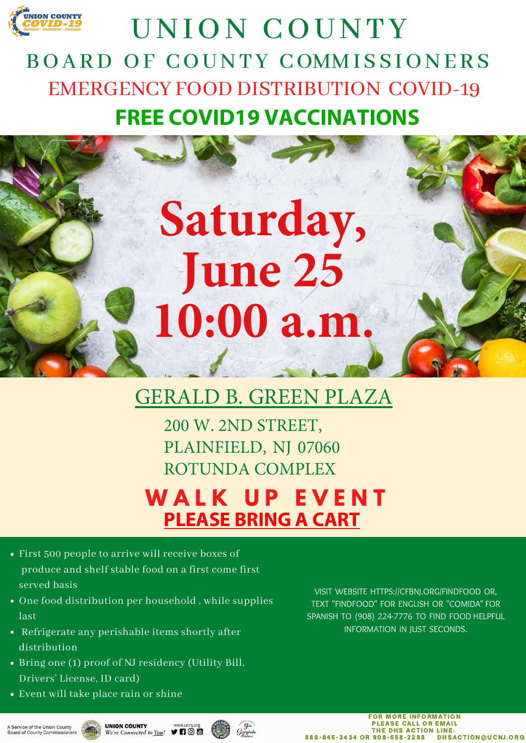## GERALD B. GREEN PLAZA

- First 500 people to arrive will receive boxes of produce and shelf stable food on a first come first served basis
- One food distribution per household, while supplies last
- Refrigerate any perishable items shortly after distribution
- Bring one (1) proof of NJ residency (Utility Bill, Drivers' License, ID card)
- Event will take place rain or shine



## UNION COUNTY BOARD OF COUNTY COMMISSIONERS EMERGENCY FOOD DISTRIBUTION COVID-19 **FREE COVID19 VACCINATIONS**

200 W. 2ND STREET, PLAINFIELD, NJ 07060 ROTUNDA COMPLEX **W A L K U P E V E N T PLEASE BRING A CART**

> VISIT WEBSITE HTTPS://CFBNJ.ORG/FINDFOOD OR, TEXT "FINDFOOD" FOR ENGLISH OR "COMIDA" FOR SPANISH TO (908) 224-7776 TO FIND FOOD HELPFUL INFORMATION IN JUST SECONDS.

A Service of the Union County Board of County Commissioners



www.ucnj.org